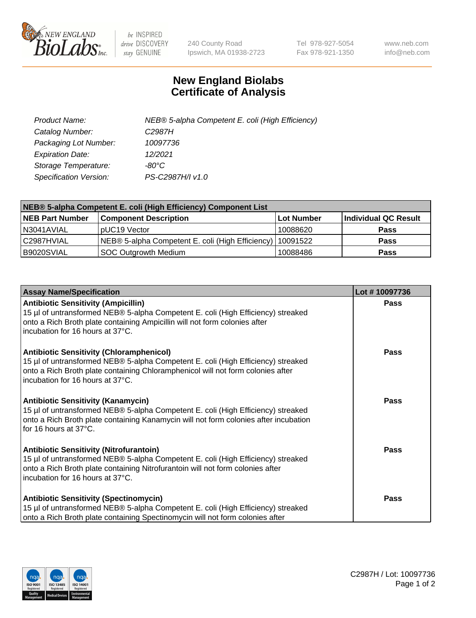

 $be$  INSPIRED drive DISCOVERY stay GENUINE

240 County Road Ipswich, MA 01938-2723 Tel 978-927-5054 Fax 978-921-1350 www.neb.com info@neb.com

## **New England Biolabs Certificate of Analysis**

| Product Name:           | NEB® 5-alpha Competent E. coli (High Efficiency) |
|-------------------------|--------------------------------------------------|
| Catalog Number:         | C <sub>2987</sub> H                              |
| Packaging Lot Number:   | 10097736                                         |
| <b>Expiration Date:</b> | 12/2021                                          |
| Storage Temperature:    | -80°C                                            |
| Specification Version:  | PS-C2987H/I v1.0                                 |

| NEB® 5-alpha Competent E. coli (High Efficiency) Component List |                                                             |            |                      |  |
|-----------------------------------------------------------------|-------------------------------------------------------------|------------|----------------------|--|
| <b>NEB Part Number</b>                                          | <b>Component Description</b>                                | Lot Number | Individual QC Result |  |
| N3041AVIAL                                                      | pUC19 Vector                                                | 10088620   | <b>Pass</b>          |  |
| C2987HVIAL                                                      | NEB® 5-alpha Competent E. coli (High Efficiency)   10091522 |            | <b>Pass</b>          |  |
| B9020SVIAL                                                      | <b>SOC Outgrowth Medium</b>                                 | 10088486   | <b>Pass</b>          |  |

| <b>Assay Name/Specification</b>                                                                                                                                                                                                                            | Lot #10097736 |
|------------------------------------------------------------------------------------------------------------------------------------------------------------------------------------------------------------------------------------------------------------|---------------|
| <b>Antibiotic Sensitivity (Ampicillin)</b><br>15 µl of untransformed NEB® 5-alpha Competent E. coli (High Efficiency) streaked<br>onto a Rich Broth plate containing Ampicillin will not form colonies after<br>incubation for 16 hours at 37°C.           | Pass          |
| <b>Antibiotic Sensitivity (Chloramphenicol)</b><br>15 µl of untransformed NEB® 5-alpha Competent E. coli (High Efficiency) streaked<br>onto a Rich Broth plate containing Chloramphenicol will not form colonies after<br>incubation for 16 hours at 37°C. | Pass          |
| Antibiotic Sensitivity (Kanamycin)<br>15 µl of untransformed NEB® 5-alpha Competent E. coli (High Efficiency) streaked<br>onto a Rich Broth plate containing Kanamycin will not form colonies after incubation<br>for 16 hours at 37°C.                    | Pass          |
| <b>Antibiotic Sensitivity (Nitrofurantoin)</b><br>15 µl of untransformed NEB® 5-alpha Competent E. coli (High Efficiency) streaked<br>onto a Rich Broth plate containing Nitrofurantoin will not form colonies after<br>incubation for 16 hours at 37°C.   | <b>Pass</b>   |
| <b>Antibiotic Sensitivity (Spectinomycin)</b><br>15 µl of untransformed NEB® 5-alpha Competent E. coli (High Efficiency) streaked<br>onto a Rich Broth plate containing Spectinomycin will not form colonies after                                         | Pass          |